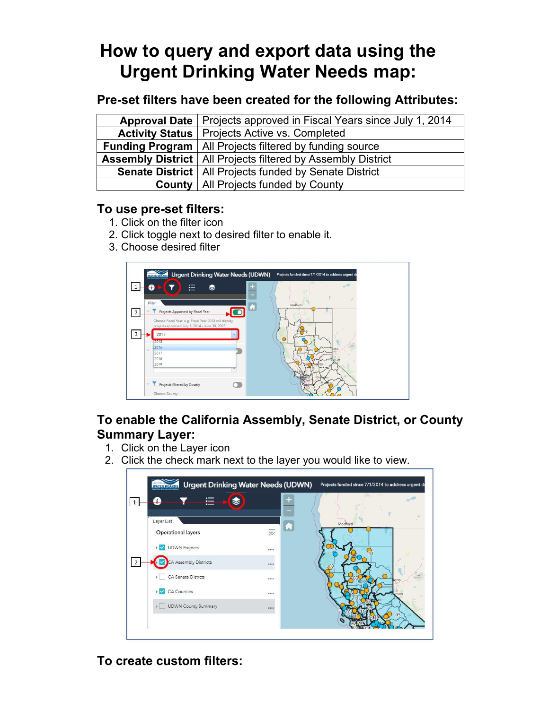# **How to query and export data using the Urgent Drinking Water Needs map:**

## **Pre-set filters have been created for the following Attributes:**

| Approval Date   Projects approved in Fiscal Years since July 1, 2014  |  |  |  |  |
|-----------------------------------------------------------------------|--|--|--|--|
| <b>Activity Status   Projects Active vs. Completed</b>                |  |  |  |  |
| <b>Funding Program</b>   All Projects filtered by funding source      |  |  |  |  |
| <b>Assembly District</b>   All Projects filtered by Assembly District |  |  |  |  |
| <b>Senate District   All Projects funded by Senate District</b>       |  |  |  |  |
| <b>County</b>   All Projects funded by County                         |  |  |  |  |

## **To use pre-set filters:**

- 1. Click on the filter icon
- 2. Click toggle next to desired filter to enable it.
- 3. Choose desired filter



# **To enable the California Assembly, Senate District, or County Summary Layer:**

- 1. Click on the Layer icon
- 2. Click the check mark next to the layer you would like to view.



# **To create custom filters :**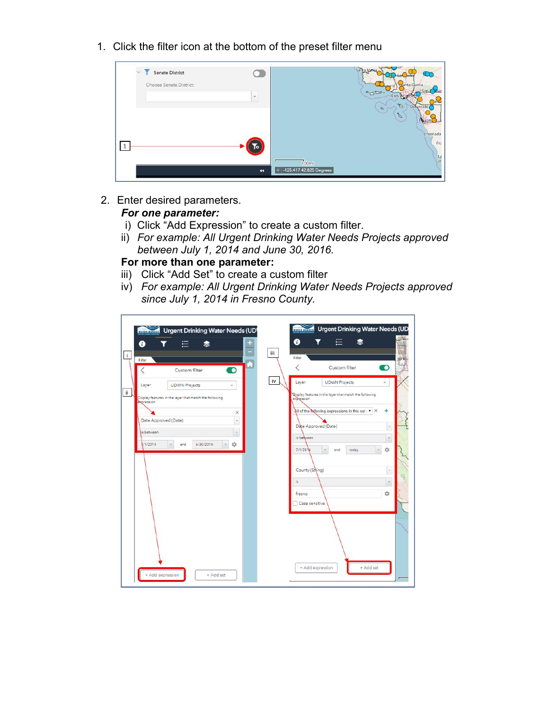1. Click the filter icon at the bottom of the preset filter menu



2. Enter desired parameters.

#### *For one parameter:*

- i) Click "Add Expression" to create a custom filter.
- ii) *For example: All Urgent Drinking Water Needs Projects approved between July 1, 2014 and June 30, 2016.*

#### **For more than one parameter:**

- iii) Click "Add Set" to create a custom filter
- *since July 1, 2014 in Fresno County.* iv) *For example: All Urgent Drinking Water Needs Projects approved*

| ⊕<br>Filter          | ⋿<br>▧                                                 |                    | 0<br>Ш<br>Filter | ≘                                                      |                          |
|----------------------|--------------------------------------------------------|--------------------|------------------|--------------------------------------------------------|--------------------------|
|                      | Custom filter                                          | $\hat{\mathbf{o}}$ | l                | Custom filter                                          | D                        |
| Layer                | <b>UDWN Projects</b>                                   |                    | iv<br>Layer      | <b>UDWN Projects</b>                                   | $\overline{\phantom{a}}$ |
| expression           | Display features in the layer that match the following |                    | expression       | Sisplay features in the layer that match the following |                          |
|                      |                                                        | $\times$           |                  | All of the following expressions in this set : *       | ÷<br>$\times$            |
| Date Approved (Date) |                                                        | $\pi$              |                  | Date Approved (Date)                                   | ÷                        |
| is between           |                                                        | w.                 | is between       |                                                        | ÷                        |
| V1/2014              | 6/30/2016<br>and                                       | 17                 | 7/1/2014         | today<br>and                                           | 13                       |
|                      |                                                        |                    | County (String)  |                                                        | ×                        |
|                      |                                                        |                    | is.              |                                                        | $\sim$                   |
|                      |                                                        |                    | fresno           |                                                        | 174                      |
|                      |                                                        |                    | Case sensitive   |                                                        |                          |
|                      |                                                        |                    |                  |                                                        |                          |